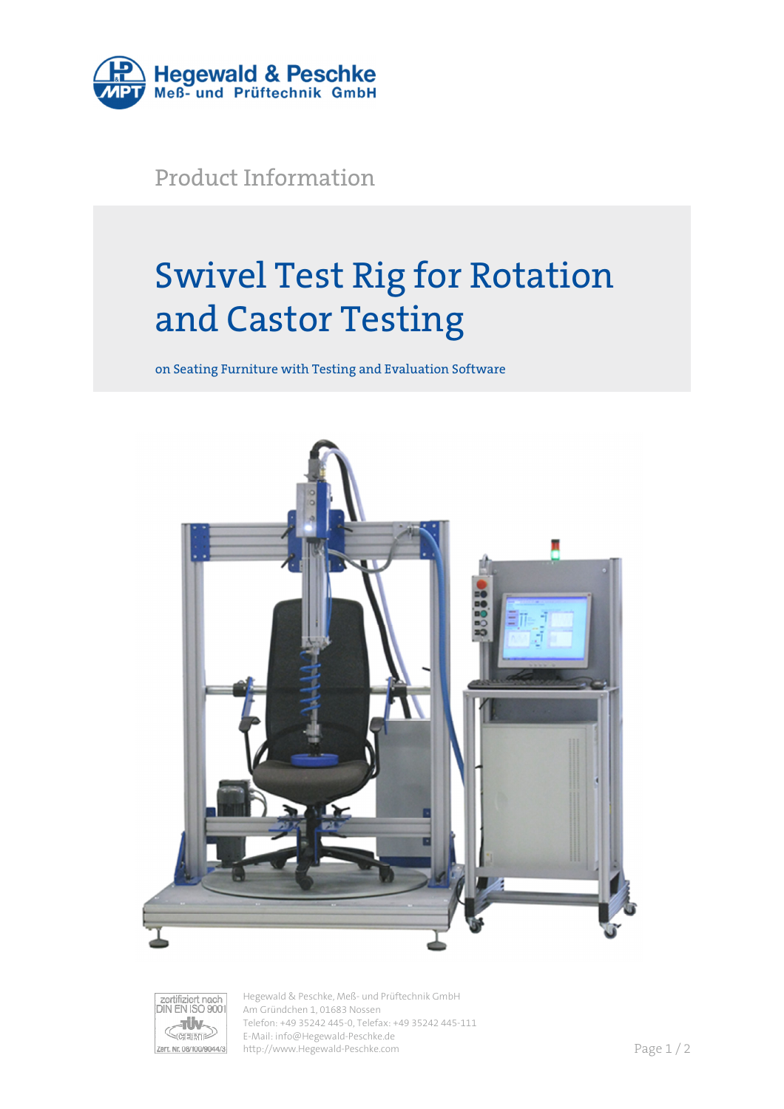

Product Information

# Swivel Test Rig for Rotation and Castor Testing

on Seating Furniture with Testing and Evaluation Software





Hegewald & Peschke, Meß- und Prüftechnik GmbH Am Gründchen 1, 01683 Nossen Telefon: +49 35242 445-0, Telefax: +49 35242 445-111 E-Mail: info@Hegewald-Peschke.de http://www.Hegewald-Peschke.com **Page 1/2**